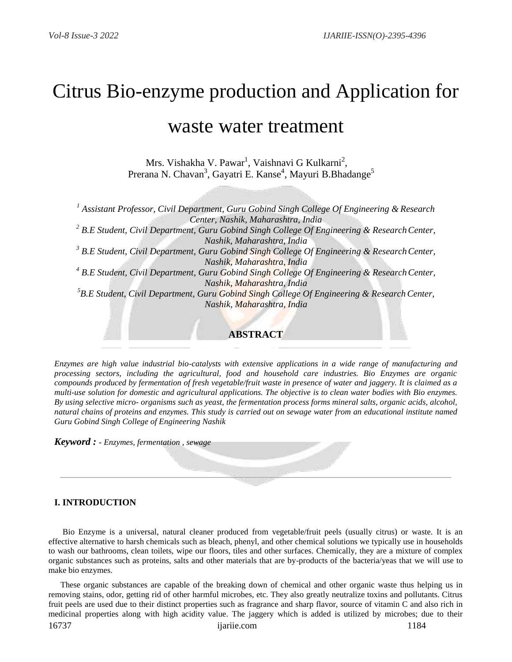# Citrus Bio-enzyme production and Application for

## waste water treatment

Mrs. Vishakha V. Pawar<sup>1</sup>, Vaishnavi G Kulkarni<sup>2</sup>, Prerana N. Chavan<sup>3</sup>, Gayatri E. Kanse<sup>4</sup>, Mayuri B.Bhadange<sup>5</sup>

*1 Assistant Professor, Civil Department, Guru Gobind Singh College Of Engineering & Research Center, Nashik, Maharashtra, India* <sup>2</sup> B.E Student, Civil Department, Guru Gobind Singh College Of Engineering & Research Center, *Nashik, Maharashtra, India* <sup>3</sup> B.E Student, Civil Department, Guru Gobind Singh College Of Engineering & Research Center, *Nashik, Maharashtra, India* <sup>4</sup> B.E Student, Civil Department, Guru Gobind Singh College Of Engineering & Research Center, *Nashik, Maharashtra, India* <sup>5</sup>B.E Student, Civil Department, Guru Gobind Singh College Of Engineering & Research Center, *Nashik, Maharashtra, India* **ABSTRACT**

*Enzymes are high value industrial bio-catalysts with extensive applications in a wide range of manufacturing and processing sectors, including the agricultural, food and household care industries. Bio Enzymes are organic compounds produced by fermentation of fresh vegetable/fruit waste in presence of water and jaggery. It is claimed as a multi-use solution for domestic and agricultural applications. The objective is to clean water bodies with Bio enzymes. By using selective micro- organisms such as yeast, the fermentation process forms mineral salts, organic acids, alcohol, natural chains of proteins and enzymes. This study is carried out on sewage water from an educational institute named Guru Gobind Singh College of Engineering Nashik* 

*Keyword : - Enzymes, fermentation , sewage*

#### **I. INTRODUCTION**

Bio Enzyme is a universal, natural cleaner produced from vegetable/fruit peels (usually citrus) or waste. It is an effective alternative to harsh chemicals such as bleach, phenyl, and other chemical solutions we typically use in households to wash our bathrooms, clean toilets, wipe our floors, tiles and other surfaces. Chemically, they are a mixture of complex organic substances such as proteins, salts and other materials that are by-products of the bacteria/yeas that we will use to make bio enzymes.

These organic substances are capable of the breaking down of chemical and other organic waste thus helping us in removing stains, odor, getting rid of other harmful microbes, etc. They also greatly neutralize toxins and pollutants. Citrus fruit peels are used due to their distinct properties such as fragrance and sharp flavor, source of vitamin C and also rich in medicinal properties along with high acidity value. The jaggery which is added is utilized by microbes; due to their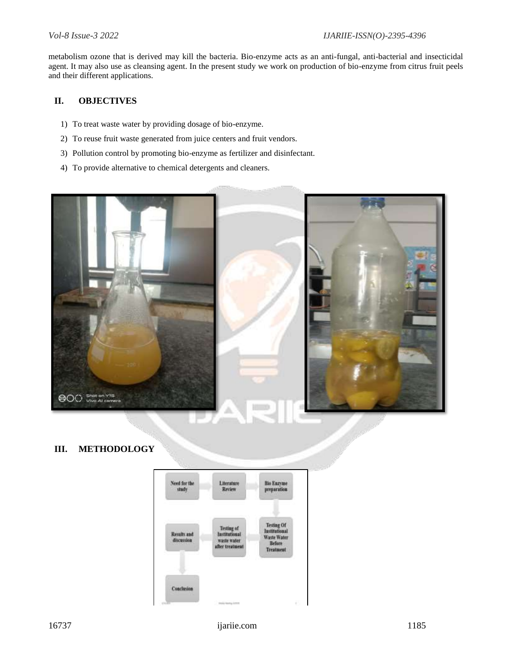metabolism ozone that is derived may kill the bacteria. Bio-enzyme acts as an anti-fungal, anti-bacterial and insecticidal agent. It may also use as cleansing agent. In the present study we work on production of bio-enzyme from citrus fruit peels and their different applications.

### **II. OBJECTIVES**

- 1) To treat waste water by providing dosage of bio-enzyme.
- 2) To reuse fruit waste generated from juice centers and fruit vendors.
- 3) Pollution control by promoting bio-enzyme as fertilizer and disinfectant.
- 4) To provide alternative to chemical detergents and cleaners.



#### **III. METHODOLOGY**

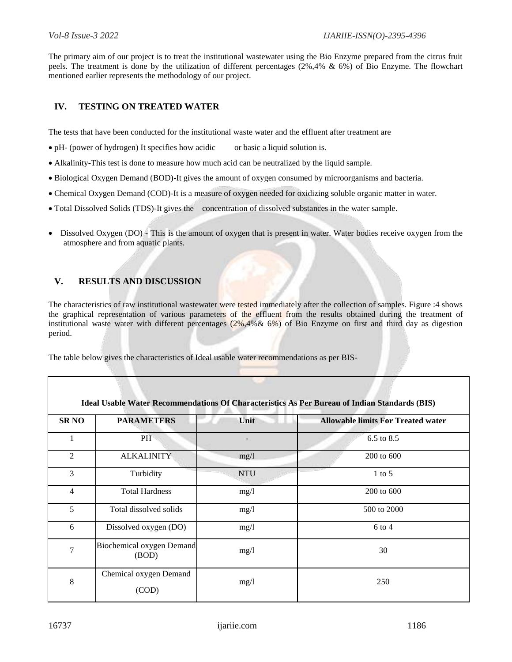The primary aim of our project is to treat the institutional wastewater using the Bio Enzyme prepared from the citrus fruit peels. The treatment is done by the utilization of different percentages (2%,4% & 6%) of Bio Enzyme. The flowchart mentioned earlier represents the methodology of our project.

#### **IV. TESTING ON TREATED WATER**

The tests that have been conducted for the institutional waste water and the effluent after treatment are

- pH- (power of hydrogen) It specifies how acidic or basic a liquid solution is.
- Alkalinity-This test is done to measure how much acid can be neutralized by the liquid sample.
- Biological Oxygen Demand (BOD)-It gives the amount of oxygen consumed by microorganisms and bacteria.
- Chemical Oxygen Demand (COD)-It is a measure of oxygen needed for oxidizing soluble organic matter in water.
- Total Dissolved Solids (TDS)-It gives the concentration of dissolved substances in the water sample.
- Dissolved Oxygen (DO) This is the amount of oxygen that is present in water. Water bodies receive oxygen from the atmosphere and from aquatic plants.

#### **V. RESULTS AND DISCUSSION**

The characteristics of raw institutional wastewater were tested immediately after the collection of samples. Figure :4 shows the graphical representation of various parameters of the effluent from the results obtained during the treatment of institutional waste water with different percentages (2%,4%& 6%) of Bio Enzyme on first and third day as digestion period.

The table below gives the characteristics of Ideal usable water recommendations as per BIS-

|                |                                    |            | Ideal Usable Water Recommendations Of Characteristics As Per Bureau of Indian Standards (BIS) |
|----------------|------------------------------------|------------|-----------------------------------------------------------------------------------------------|
| <b>SR NO</b>   | <b>PARAMETERS</b>                  | Unit       | <b>Allowable limits For Treated water</b>                                                     |
| 1              | PH <sup>-</sup>                    |            | 6.5 to 8.5                                                                                    |
| $\overline{2}$ | <b>ALKALINITY</b>                  | mg/1       | 200 to 600                                                                                    |
| 3              | Turbidity                          | <b>NTU</b> | $1$ to 5                                                                                      |
| $\overline{4}$ | <b>Total Hardness</b>              | mg/1       | 200 to 600                                                                                    |
| 5              | Total dissolved solids             | mg/1       | 500 to 2000                                                                                   |
| 6              | Dissolved oxygen (DO)              | mg/1       | $6$ to 4                                                                                      |
| $\overline{7}$ | Biochemical oxygen Demand<br>(BOD) | mg/1       | 30                                                                                            |
| $8\,$          | Chemical oxygen Demand<br>(COD)    | mg/1       | 250                                                                                           |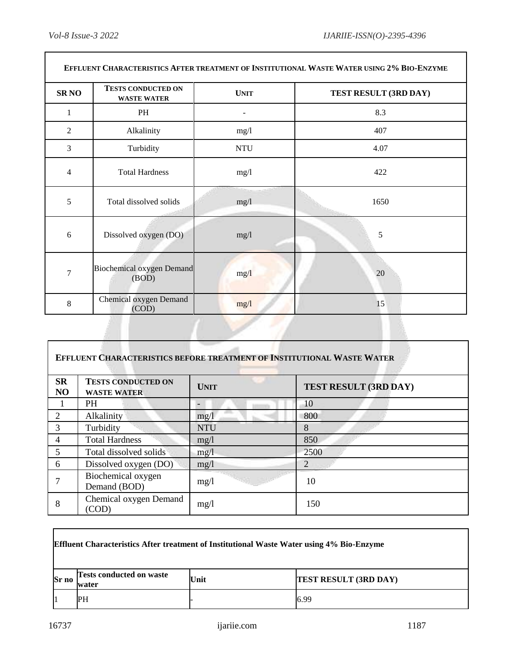ן

 $\overline{\Gamma}$ 

|                | EFFLUENT CHARACTERISTICS AFTER TREATMENT OF INSTITUTIONAL WASTE WATER USING 2% BIO-ENZYME |             |                       |  |
|----------------|-------------------------------------------------------------------------------------------|-------------|-----------------------|--|
| <b>SRNO</b>    | <b>TESTS CONDUCTED ON</b><br><b>WASTE WATER</b>                                           | <b>UNIT</b> | TEST RESULT (3RD DAY) |  |
| 1              | PH                                                                                        |             | 8.3                   |  |
| $\overline{2}$ | Alkalinity                                                                                | mg/l        | 407                   |  |
| 3              | Turbidity                                                                                 | <b>NTU</b>  | 4.07                  |  |
| 4              | <b>Total Hardness</b>                                                                     | mg/1        | 422                   |  |
| 5              | Total dissolved solids                                                                    | mg/l        | 1650                  |  |
| 6              | Dissolved oxygen (DO)                                                                     | mg/1        | 5                     |  |
| $\overline{7}$ | <b>Biochemical oxygen Demand</b><br>(BOD)                                                 | mg/1        | 20                    |  |
| 8              | Chemical oxygen Demand<br>(COD)                                                           | mg/1        | 15                    |  |

|                 | <b>EFFLUENT CHARACTERISTICS BEFORE TREATMENT OF INSTITUTIONAL WASTE WATER</b> |             |                       |
|-----------------|-------------------------------------------------------------------------------|-------------|-----------------------|
| <b>SR</b><br>NO | <b>TESTS CONDUCTED ON</b><br><b>WASTE WATER</b>                               | <b>UNIT</b> | TEST RESULT (3RD DAY) |
|                 | <b>PH</b>                                                                     |             | 10                    |
| 2               | Alkalinity                                                                    | mg/1        | 800                   |
| 3               | Turbidity                                                                     | <b>NTU</b>  | 8                     |
| 4               | <b>Total Hardness</b>                                                         | mg/1        | 850                   |
| 5               | Total dissolved solids                                                        | mg/1        | 2500                  |
| 6               | Dissolved oxygen (DO)                                                         | mg/1        | $\overline{2}$        |
|                 | Biochemical oxygen<br>Demand (BOD)                                            | mg/1        | 10                    |
| 8               | Chemical oxygen Demand<br>(COD)                                               | mg/1        | 150                   |

|       | <b>Effluent Characteristics After treatment of Institutional Waste Water using 4% Bio-Enzyme</b> |      |                              |
|-------|--------------------------------------------------------------------------------------------------|------|------------------------------|
| Sr no | <b>Tests conducted on waste</b><br>water                                                         | Unit | <b>TEST RESULT (3RD DAY)</b> |
|       | PH                                                                                               |      | 6.99                         |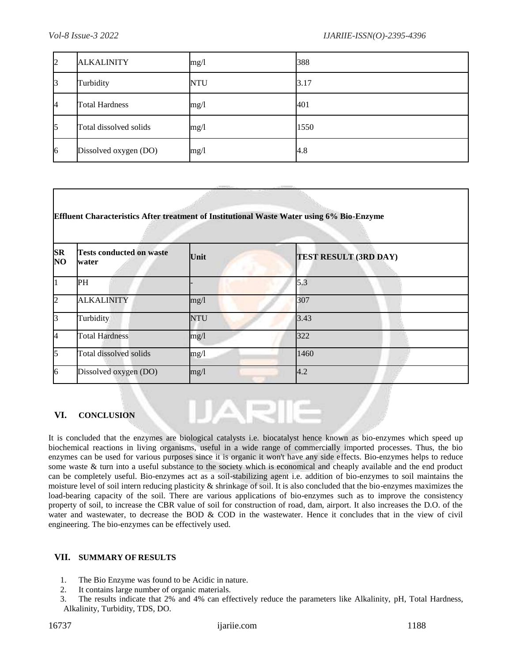| $\overline{2}$ | <b>ALKALINITY</b>      | mg/1       | 388  |
|----------------|------------------------|------------|------|
| 3              | Turbidity              | <b>NTU</b> | 3.17 |
| <sup>4</sup>   | <b>Total Hardness</b>  | mg/l       | 401  |
| 5              | Total dissolved solids | mg/l       | 1550 |
| 6              | Dissolved oxygen (DO)  | mg/1       | 4.8  |

| <b>SR</b><br>N <sub>O</sub> | <b>Tests conducted on waste</b><br>water | Unit       | TEST RESULT (3RD DAY) |  |
|-----------------------------|------------------------------------------|------------|-----------------------|--|
| $\vert$ 1                   | PH                                       |            | 5.3                   |  |
| $\overline{2}$              | <b>ALKALINITY</b>                        | mg/1       | 307                   |  |
| $\mathbf{3}$                | Turbidity                                | <b>NTU</b> | 3.43                  |  |
| I4                          | <b>Total Hardness</b>                    | mg/1       | 322                   |  |
| $\mathsf{S}$                | Total dissolved solids                   | mg/1       | 1460                  |  |
| 6                           | Dissolved oxygen (DO)                    | mg/1       | 4.2                   |  |

#### **VI. CONCLUSION**

It is concluded that the enzymes are biological catalysts i.e. biocatalyst hence known as bio-enzymes which speed up biochemical reactions in living organisms, useful in a wide range of commercially imported processes. Thus, the bio enzymes can be used for various purposes since it is organic it won't have any side effects. Bio-enzymes helps to reduce some waste & turn into a useful substance to the society which is economical and cheaply available and the end product can be completely useful. Bio-enzymes act as a soil-stabilizing agent i.e. addition of bio-enzymes to soil maintains the moisture level of soil intern reducing plasticity & shrinkage of soil. It is also concluded that the bio-enzymes maximizes the load-bearing capacity of the soil. There are various applications of bio-enzymes such as to improve the consistency property of soil, to increase the CBR value of soil for construction of road, dam, airport. It also increases the D.O. of the water and wastewater, to decrease the BOD & COD in the wastewater. Hence it concludes that in the view of civil engineering. The bio-enzymes can be effectively used.

**ATT** 

#### **VII. SUMMARY OF RESULTS**

- 1. The Bio Enzyme was found to be Acidic in nature.
- 2. It contains large number of organic materials.
- 3. The results indicate that 2% and 4% can effectively reduce the parameters like Alkalinity, pH, Total Hardness, Alkalinity, Turbidity, TDS, DO.